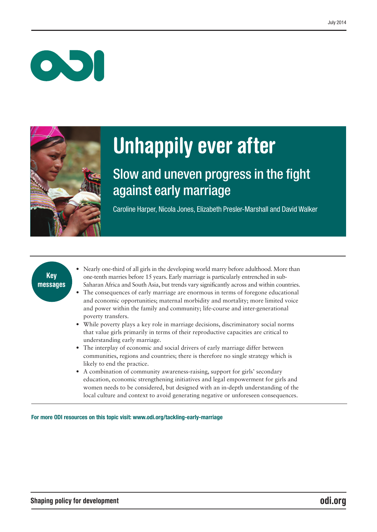$\bullet$ 



# Unhappily ever after

# Slow and uneven progress in the fight against early marriage

Caroline Harper, Nicola Jones, Elizabeth Presler-Marshall and David Walker

# Key messages

- Nearly one-third of all girls in the developing world marry before adulthood. More than one-tenth marries before 15 years. Early marriage is particularly entrenched in sub-Saharan Africa and South Asia, but trends vary significantly across and within countries.
- The consequences of early marriage are enormous in terms of foregone educational and economic opportunities; maternal morbidity and mortality; more limited voice and power within the family and community; life-course and inter-generational poverty transfers.
- While poverty plays a key role in marriage decisions, discriminatory social norms that value girls primarily in terms of their reproductive capacities are critical to understanding early marriage.
- The interplay of economic and social drivers of early marriage differ between communities, regions and countries; there is therefore no single strategy which is likely to end the practice.
- A combination of community awareness-raising, support for girls' secondary education, economic strengthening initiatives and legal empowerment for girls and women needs to be considered, but designed with an in-depth understanding of the local culture and context to avoid generating negative or unforeseen consequences.

For more ODI resources on this topic visit: www.odi.org/tackling-early-marriage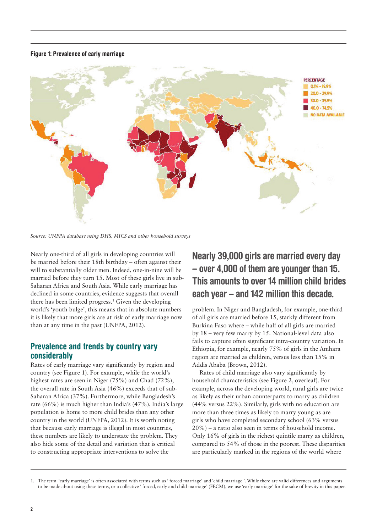#### Figure 1: Prevalence of early marriage



*Source: UNFPA database using DHS, MICS and other household surveys*

Nearly one-third of all girls in developing countries will be married before their 18th birthday – often against their will to substantially older men. Indeed, one-in-nine will be married before they turn 15. Most of these girls live in sub-Saharan Africa and South Asia. While early marriage has declined in some countries, evidence suggests that overall there has been limited progress.<sup>1</sup> Given the developing world's 'youth bulge', this means that in absolute numbers it is likely that more girls are at risk of early marriage now than at any time in the past (UNFPA, 2012).

## Prevalence and trends by country vary considerably

Rates of early marriage vary significantly by region and country (see Figure 1). For example, while the world's highest rates are seen in Niger (75%) and Chad (72%), the overall rate in South Asia (46%) exceeds that of sub-Saharan Africa (37%). Furthermore, while Bangladesh's rate (66%) is much higher than India's (47%), India's large population is home to more child brides than any other country in the world (UNFPA, 2012). It is worth noting that because early marriage is illegal in most countries, these numbers are likely to understate the problem. They also hide some of the detail and variation that is critical to constructing appropriate interventions to solve the

# Nearly 39,000 girls are married every day – over 4,000 of them are younger than 15. This amounts to over 14 million child brides each year – and 142 million this decade.

problem. In Niger and Bangladesh, for example, one-third of all girls are married before 15, starkly different from Burkina Faso where – while half of all girls are married by 18 – very few marry by 15. National-level data also fails to capture often significant intra-country variation. In Ethiopia, for example, nearly 75% of girls in the Amhara region are married as children, versus less than 15% in Addis Ababa (Brown, 2012).

Rates of child marriage also vary significantly by household characteristics (see Figure 2, overleaf). For example, across the developing world, rural girls are twice as likely as their urban counterparts to marry as children (44% versus 22%). Similarly, girls with no education are more than three times as likely to marry young as are girls who have completed secondary school (63% versus 20%) – a ratio also seen in terms of household income. Only 16% of girls in the richest quintile marry as children, compared to 54% of those in the poorest. These disparities are particularly marked in the regions of the world where

<sup>1.</sup> The term 'early marriage' is often associated with terms such as 'forced marriage' and 'child marriage'. While there are valid differences and arguments to be made about using these terms, or a collective ' forced, early and child marriage' (FECM), we use 'early marriage' for the sake of brevity in this paper.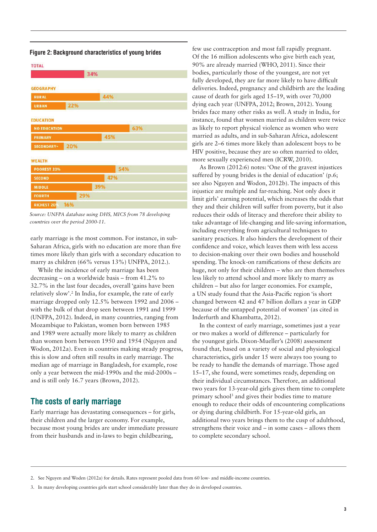| <b>TOTAL</b>        |     |     |     |
|---------------------|-----|-----|-----|
|                     |     | 34% |     |
|                     |     |     |     |
| <b>GEOGRAPHY</b>    |     |     |     |
| <b>RURAL</b>        |     | 44% |     |
| <b>URBAN</b>        | 22% |     |     |
|                     |     |     |     |
| <b>EDUCATION</b>    |     | --  |     |
| <b>NO EDUCATION</b> |     |     | 63% |
| <b>PRIMARY</b>      |     | 45% |     |
| <b>SECONDARY+</b>   | 20% |     |     |
|                     |     |     |     |
| <b>WEALTH</b>       |     |     |     |
| <b>POOREST 20%</b>  |     | 54% |     |
| <b>SECOND</b>       |     | 47% |     |
| <b>MIDDLE</b>       |     | 39% |     |
| <b>FOURTH</b>       | 29% |     |     |
| <b>RICHEST 209</b>  | 16% |     |     |

#### Figure 2: Background characteristics of young brides

*Source: UNFPA database using DHS, MICS from 78 developing countries over the period 2000-11.*

early marriage is the most common. For instance, in sub-Saharan Africa, girls with no education are more than five times more likely than girls with a secondary education to marry as children (66% versus 13%) UNFPA, 2012.).

While the incidence of early marriage has been decreasing – on a worldwide basis – from 41.2% to 32.7% in the last four decades, overall 'gains have been relatively slow'.2 In India, for example, the rate of early marriage dropped only 12.5% between 1992 and 2006 – with the bulk of that drop seen between 1991 and 1999 (UNFPA, 2012). Indeed, in many countries, ranging from Mozambique to Pakistan, women born between 1985 and 1989 were actually more likely to marry as children than women born between 1950 and 1954 (Nguyen and Wodon, 2012a). Even in countries making steady progress, this is slow and often still results in early marriage. The median age of marriage in Bangladesh, for example, rose only a year between the mid-1990s and the mid-2000s – and is still only 16.7 years (Brown, 2012).

#### The costs of early marriage

Early marriage has devastating consequences – for girls, their children and the larger economy. For example, because most young brides are under immediate pressure from their husbands and in-laws to begin childbearing,

few use contraception and most fall rapidly pregnant. Of the 16 million adolescents who give birth each year, 90% are already married (WHO, 2011). Since their bodies, particularly those of the youngest, are not yet fully developed, they are far more likely to have difficult deliveries. Indeed, pregnancy and childbirth are the leading cause of death for girls aged 15–19, with over 70,000 dying each year (UNFPA, 2012; Brown, 2012). Young brides face many other risks as well. A study in India, for instance, found that women married as children were twice as likely to report physical violence as women who were married as adults, and in sub-Saharan Africa, adolescent girls are 2–6 times more likely than adolescent boys to be HIV positive, because they are so often married to older, more sexually experienced men (ICRW, 2010).

As Brown (2012:6) notes: 'One of the gravest injustices suffered by young brides is the denial of education' (p.6; see also Nguyen and Wodon, 2012b). The impacts of this injustice are multiple and far-reaching. Not only does it limit girls' earning potential, which increases the odds that they and their children will suffer from poverty, but it also reduces their odds of literacy and therefore their ability to take advantage of life-changing and life-saving information, including everything from agricultural techniques to sanitary practices. It also hinders the development of their confidence and voice, which leaves them with less access to decision-making over their own bodies and household spending. The knock-on ramifications of these deficits are huge, not only for their children – who are then themselves less likely to attend school and more likely to marry as children – but also for larger economies. For example, a UN study found that the Asia-Pacific region 'is short changed between 42 and 47 billion dollars a year in GDP because of the untapped potential of women' (as cited in Inderfurth and Khambatta, 2012).

In the context of early marriage, sometimes just a year or two makes a world of difference – particularly for the youngest girls. Dixon-Mueller's (2008) assessment found that, based on a variety of social and physiological characteristics, girls under 15 were always too young to be ready to handle the demands of marriage. Those aged 15–17, she found, were sometimes ready, depending on their individual circumstances. Therefore, an additional two years for 13-year-old girls gives them time to complete primary school3 and gives their bodies time to mature enough to reduce their odds of encountering complications or dying during childbirth. For 15-year-old girls, an additional two years brings them to the cusp of adulthood, strengthens their voice and – in some cases – allows them to complete secondary school.

<sup>2.</sup> See Nguyen and Woden (2012a) for details. Rates represent pooled data from 60 low- and middle-income countries.

<sup>3.</sup> In many developing countries girls start school considerably later than they do in developed countries.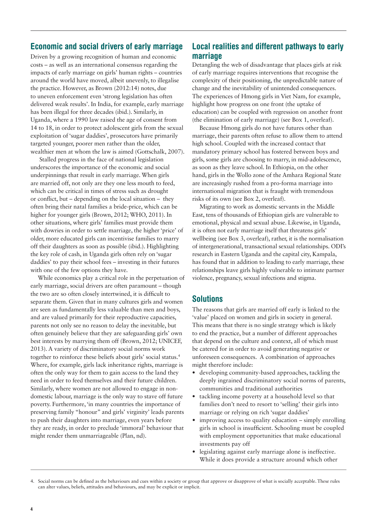### Economic and social drivers of early marriage

Driven by a growing recognition of human and economic costs – as well as an international consensus regarding the impacts of early marriage on girls' human rights – countries around the world have moved, albeit unevenly, to illegalise the practice. However, as Brown (2012:14) notes, due to uneven enforcement even 'strong legislation has often delivered weak results'. In India, for example, early marriage has been illegal for three decades (ibid.). Similarly, in Uganda, where a 1990 law raised the age of consent from 14 to 18, in order to protect adolescent girls from the sexual exploitation of 'sugar daddies', prosecutors have primarily targeted younger, poorer men rather than the older, wealthier men at whom the law is aimed (Gottschalk, 2007).

Stalled progress in the face of national legislation underscores the importance of the economic and social underpinnings that result in early marriage. When girls are married off, not only are they one less mouth to feed, which can be critical in times of stress such as drought or conflict, but – depending on the local situation – they often bring their natal families a bride-price, which can be higher for younger girls (Brown, 2012; WHO, 2011). In other situations, where girls' families must provide them with dowries in order to settle marriage, the higher 'price' of older, more educated girls can incentivise families to marry off their daughters as soon as possible (ibid.). Highlighting the key role of cash, in Uganda girls often rely on 'sugar daddies' to pay their school fees – investing in their futures with one of the few options they have.

While economics play a critical role in the perpetuation of early marriage, social drivers are often paramount – though the two are so often closely intertwined, it is difficult to separate them. Given that in many cultures girls and women are seen as fundamentally less valuable than men and boys, and are valued primarily for their reproductive capacities, parents not only see no reason to delay the inevitable, but often genuinely believe that they are safeguarding girls' own best interests by marrying them off (Brown, 2012; UNICEF, 2013). A variety of discriminatory social norms work together to reinforce these beliefs about girls' social status.4 Where, for example, girls lack inheritance rights, marriage is often the only way for them to gain access to the land they need in order to feed themselves and their future children. Similarly, where women are not allowed to engage in nondomestic labour, marriage is the only way to stave off future poverty. Furthermore, 'in many countries the importance of preserving family "honour" and girls' virginity' leads parents to push their daughters into marriage, even years before they are ready, in order to preclude 'immoral' behaviour that might render them unmarriageable (Plan, nd).

## Local realities and different pathways to early marriage

Detangling the web of disadvantage that places girls at risk of early marriage requires interventions that recognise the complexity of their positioning, the unpredictable nature of change and the inevitability of unintended consequences. The experiences of Hmong girls in Viet Nam, for example, highlight how progress on one front (the uptake of education) can be coupled with regression on another front (the elimination of early marriage) (see Box 1, overleaf).

Because Hmong girls do not have futures other than marriage, their parents often refuse to allow them to attend high school. Coupled with the increased contact that mandatory primary school has fostered between boys and girls, some girls are choosing to marry, in mid-adolescence, as soon as they leave school. In Ethiopia, on the other hand, girls in the Wollo zone of the Amhara Regional State are increasingly rushed from a pro-forma marriage into international migration that is fraught with tremendous risks of its own (see Box 2, overleaf).

Migrating to work as domestic servants in the Middle East, tens of thousands of Ethiopian girls are vulnerable to emotional, physical and sexual abuse. Likewise, in Uganda, it is often not early marriage itself that threatens girls' wellbeing (see Box 3, overleaf), rather, it is the normalisation of intergenerational, transactional sexual relationships. ODI's research in Eastern Uganda and the capital city, Kampala, has found that in addition to leading to early marriage, these relationships leave girls highly vulnerable to intimate partner violence, pregnancy, sexual infections and stigma.

#### **Solutions**

The reasons that girls are married off early is linked to the 'value' placed on women and girls in society in general. This means that there is no single strategy which is likely to end the practice, but a number of different approaches that depend on the culture and context, all of which must be catered for in order to avoid generating negative or unforeseen consequences. A combination of approaches might therefore include:

- **•** developing community-based approaches, tackling the deeply ingrained discriminatory social norms of parents, communities and traditional authorities
- **•** tackling income poverty at a household level so that families don't need to resort to 'selling' their girls into marriage or relying on rich 'sugar daddies'
- improving access to quality education simply enrolling girls in school is insufficient. Schooling must be coupled with employment opportunities that make educational investments pay off
- **•** legislating against early marriage alone is ineffective. While it does provide a structure around which other

<sup>4.</sup> Social norms can be defined as the behaviours and cues within a society or group that approve or disapprove of what is socially acceptable. These rules can alter values, beliefs, attitudes and behaviours, and may be explicit or implicit.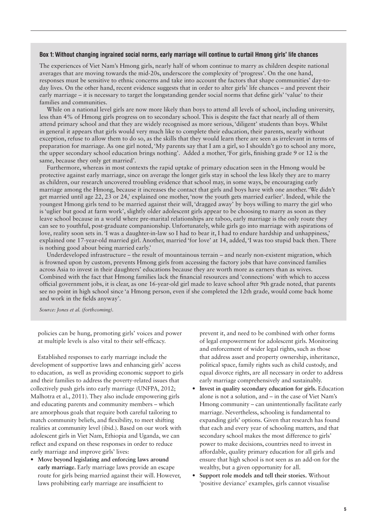#### Box 1: Without changing ingrained social norms, early marriage will continue to curtail Hmong girls' life chances

The experiences of Viet Nam's Hmong girls, nearly half of whom continue to marry as children despite national averages that are moving towards the mid-20s, underscore the complexity of 'progress'. On the one hand, responses must be sensitive to ethnic concerns and take into account the factors that shape communities' day-today lives. On the other hand, recent evidence suggests that in order to alter girls' life chances – and prevent their early marriage – it is necessary to target the longstanding gender social norms that define girls' 'value' to their families and communities.

While on a national level girls are now more likely than boys to attend all levels of school, including university, less than 4% of Hmong girls progress on to secondary school. This is despite the fact that nearly all of them attend primary school and that they are widely recognised as more serious, 'diligent' students than boys. Whilst in general it appears that girls would very much like to complete their education, their parents, nearly without exception, refuse to allow them to do so, as the skills that they would learn there are seen as irrelevant in terms of preparation for marriage. As one girl noted, 'My parents say that I am a girl, so I shouldn't go to school any more, the upper secondary school education brings nothing'. Added a mother, 'For girls, finishing grade 9 or 12 is the same, because they only get married'.

Furthermore, whereas in most contexts the rapid uptake of primary education seen in the Hmong would be protective against early marriage, since on average the longer girls stay in school the less likely they are to marry as children, our research uncovered troubling evidence that school may, in some ways, be encouraging early marriage among the Hmong, because it increases the contact that girls and boys have with one another. 'We didn't get married until age 22, 23 or 24,' explained one mother, 'now the youth gets married earlier'. Indeed, while the youngest Hmong girls tend to be married against their will, 'dragged away' by boys willing to marry the girl who is 'uglier but good at farm work', slightly older adolescent girls appear to be choosing to marry as soon as they leave school because in a world where pre-marital relationships are taboo, early marriage is the only route they can see to youthful, post-graduate companionship. Unfortunately, while girls go into marriage with aspirations of love, reality soon sets in. 'I was a daughter-in-law so I had to bear it, I had to endure hardship and unhappiness,' explained one 17-year-old married girl. Another, married 'for love' at 14, added, 'I was too stupid back then. There is nothing good about being married early.'

Underdeveloped infrastructure – the result of mountainous terrain – and nearly non-existent migration, which is frowned upon by custom, prevents Hmong girls from accessing the factory jobs that have convinced families across Asia to invest in their daughters' educations because they are worth more as earners than as wives. Combined with the fact that Hmong families lack the financial resources and 'connections' with which to access official government jobs, it is clear, as one 16-year-old girl made to leave school after 9th grade noted, that parents see no point in high school since 'a Hmong person, even if she completed the 12th grade, would come back home and work in the fields anyway'.

*Source: Jones et al. (forthcoming).*

policies can be hung, promoting girls' voices and power at multiple levels is also vital to their self-efficacy.

Established responses to early marriage include the development of supportive laws and enhancing girls' access to education, as well as providing economic support to girls and their families to address the poverty-related issues that collectively push girls into early marriage (UNFPA, 2012; Malhotra et al., 2011). They also include empowering girls and educating parents and community members – which are amorphous goals that require both careful tailoring to match community beliefs, and flexibility, to meet shifting realities at community level (ibid.). Based on our work with adolescent girls in Viet Nam, Ethiopia and Uganda, we can reflect and expand on these responses in order to reduce early marriage and improve girls' lives:

**• Move beyond legislating and enforcing laws around early marriage.** Early marriage laws provide an escape route for girls being married against their will. However, laws prohibiting early marriage are insufficient to

prevent it, and need to be combined with other forms of legal empowerment for adolescent girls. Monitoring and enforcement of wider legal rights, such as those that address asset and property ownership, inheritance, political space, family rights such as child custody, and equal divorce rights, are all necessary in order to address early marriage comprehensively and sustainably.

- **• Invest in quality secondary education for girls.** Education alone is not a solution, and – in the case of Viet Nam's Hmong community – can unintentionally facilitate early marriage. Nevertheless, schooling is fundamental to expanding girls' options. Given that research has found that each and every year of schooling matters, and that secondary school makes the most difference to girls' power to make decisions, countries need to invest in affordable, quality primary education for all girls and ensure that high school is not seen as an add-on for the wealthy, but a given opportunity for all.
- **• Support role models and tell their stories.** Without 'positive deviance' examples, girls cannot visualise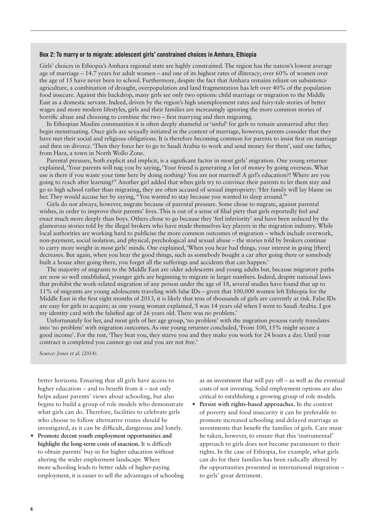#### Box 2: To marry or to migrate: adolescent girls' constrained choices in Amhara, Ethiopia

Girls' choices in Ethiopia's Amhara regional state are highly constrained. The region has the nation's lowest average age of marriage – 14.7 years for adult women – and one of its highest rates of illiteracy; over 60% of women over the age of 15 have never been to school. Furthermore, despite the fact that Amhara remains reliant on subsistence agriculture, a combination of drought, overpopulation and land fragmentation has left over 40% of the population food insecure. Against this backdrop, many girls see only two options: child marriage or migration to the Middle East as a domestic servant. Indeed, driven by the region's high unemployment rates and fairy-tale stories of better wages and more modern lifestyles, girls and their families are increasingly ignoring the more common stories of horrific abuse and choosing to combine the two – first marrying and then migrating.

In Ethiopian Muslim communities it is often deeply shameful or'sinful' for girls to remain unmarried after they begin menstruating. Once girls are sexually initiated in the context of marriage, however, parents consider that they have met their social and religious obligations. It is therefore becoming common for parents to insist first on marriage and then on divorce. 'Then they force her to go to Saudi Arabia to work and send money for them', said one father, from Hara, a town in North Wollo Zone.

Parental pressure, both explicit and implicit, is a significant factor in most girls' migration. One young returnee explained, 'Your parents will nag you by saying, 'Your friend is generating a lot of money by going overseas. What use is there if you waste your time here by doing nothing? You are not married! A girl's education?! Where are you going to reach after learning?'' Another girl added that when girls try to convince their parents to let them stay and go to high school rather than migrating, they are often accused of sexual impropriety: 'Her family will lay blame on her. They would accuse her by saying, "You wanted to stay because you wanted to sleep around.'''

Girls do not always, however, migrate because of parental pressure. Some chose to migrate, against parental wishes, in order to improve their parents' lives. This is out of a sense of filial piety that girls reportedly feel and enact much more deeply than boys. Others chose to go because they 'feel inferiority' and have been seduced by the glamorous stories told by the illegal brokers who have made themselves key players in the migration industry. While local authorities are working hard to publicise the more common outcomes of migration – which include overwork, non-payment, social isolation, and physical, psychological and sexual abuse – the stories told by brokers continue to carry more weight in most girls' minds. One explained, 'When you hear bad things, your interest in going [there] decreases. But again, when you hear the good things, such as somebody bought a car after going there or somebody built a house after going there, you forget all the sufferings and accidents that can happen.'

The majority of migrants to the Middle East are older adolescents and young adults but, because migratory paths are now so well established, younger girls are beginning to migrate in larger numbers. Indeed, despite national laws that prohibit the work-related migration of any person under the age of 18, several studies have found that up to 11% of migrants are young adolescents traveling with false IDs – given that 100,000 women left Ethiopia for the Middle East in the first eight months of 2013, it is likely that tens of thousands of girls are currently at risk. False IDs are easy for girls to acquire; as one young woman explained, 'I was 14 years old when I went to Saudi Arabia. I got my identity card with the falsified age of 26 years old. There was no problem.'

Unfortunately for her, and most girls of her age group, 'no problem' with the migration process rarely translates into 'no problem' with migration outcomes. As one young returnee concluded, 'From 100, 15% might secure a good income'. For the rest, 'They beat you, they starve you and they make you work for 24 hours a day. Until your contract is completed you cannot go out and you are not free.'

*Source: Jones et al. (2014).*

better horizons. Ensuring that all girls have access to higher education – and to benefit from it – not only helps adjust parents' views about schooling, but also begins to build a group of role models who demonstrate what girls can do. Therefore, facilities to celebrate girls who choose to follow alternative routes should be investigated, as it can be difficult, dangerous and lonely.

**• Promote decent youth employment opportunities and highlight the long-term costs of inaction.** It is difficult to obtain parents' buy-in for higher education without altering the wider employment landscape. Where more schooling leads to better odds of higher-paying employment, it is easier to sell the advantages of schooling

as an investment that will pay off – as well as the eventual costs of not investing. Solid employment options are also critical to establishing a growing group of role models.

**• Persist with rights-based approaches.** In the context of poverty and food insecurity it can be preferable to promote increased schooling and delayed marriage as investments that benefit the families of girls. Care must be taken, however, to ensure that this 'instrumental' approach to girls does not become paramount to their rights. In the case of Ethiopia, for example, what girls can do for their families has been radically altered by the opportunities presented in international migration – to girls' great detriment.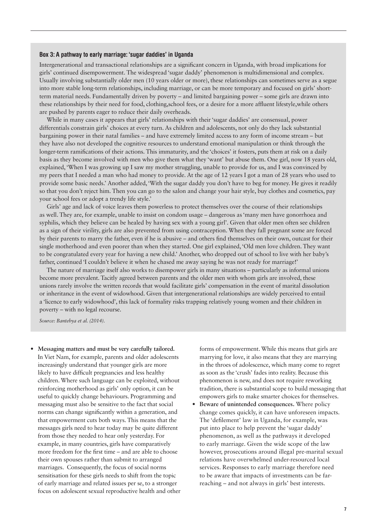#### Box 3: A pathway to early marriage: 'sugar daddies' in Uganda

Intergenerational and transactional relationships are a significant concern in Uganda, with broad implications for girls' continued disempowerment. The widespread 'sugar daddy' phenomenon is multidimensional and complex. Usually involving substantially older men (10 years older or more), these relationships can sometimes serve as a segue into more stable long-term relationships, including marriage, or can be more temporary and focused on girls' shortterm material needs. Fundamentally driven by poverty – and limited bargaining power – some girls are drawn into these relationships by their need for food, clothing,school fees, or a desire for a more affluent lifestyle,while others are pushed by parents eager to reduce their daily overheads.

While in many cases it appears that girls' relationships with their'sugar daddies' are consensual, power differentials constrain girls' choices at every turn. As children and adolescents, not only do they lack substantial bargaining power in their natal families – and have extremely limited access to any form of income stream – but they have also not developed the cognitive resources to understand emotional manipulation or think through the longer-term ramifications of their actions. This immaturity, and the 'choices' it fosters, puts them at risk on a daily basis as they become involved with men who give them what they 'want' but abuse them. One girl, now 18 years old, explained, 'When I was growing up I saw my mother struggling, unable to provide for us, and I was convinced by my peers that I needed a man who had money to provide. At the age of 12 years I got a man of 28 years who used to provide some basic needs.' Another added, 'With the sugar daddy you don't have to beg for money. He gives it readily so that you don't reject him. Then you can go to the salon and change your hair style, buy clothes and cosmetics, pay your school fees or adopt a trendy life style.'

Girls' age and lack of voice leaves them powerless to protect themselves over the course of their relationships as well. They are, for example, unable to insist on condom usage – dangerous as'many men have gonorrhoea and syphilis, which they believe can be healed by having sex with a young girl'. Given that older men often see children as a sign of their virility, girls are also prevented from using contraception. When they fall pregnant some are forced by their parents to marry the father, even if he is abusive – and others find themselves on their own, outcast for their single motherhood and even poorer than when they started. One girl explained, 'Old men love children. They want to be congratulated every year for having a new child.' Another, who dropped out of school to live with her baby's father, continued 'I couldn't believe it when he chased me away saying he was not ready for marriage!'

The nature of marriage itself also works to disempower girls in many situations – particularly as informal unions become more prevalent. Tacitly agreed between parents and the older men with whom girls are involved, these unions rarely involve the written records that would facilitate girls' compensation in the event of marital dissolution or inheritance in the event of widowhood. Given that intergenerational relationships are widely perceived to entail a 'licence to early widowhood', this lack of formality risks trapping relatively young women and their children in poverty – with no legal recourse.

*Source: Bantebya et al. (2014).*

**• Messaging matters and must be very carefully tailored.**  In Viet Nam, for example, parents and older adolescents increasingly understand that younger girls are more likely to have difficult pregnancies and less healthy children. Where such language can be exploited, without reinforcing motherhood as girls' only option, it can be useful to quickly change behaviours. Programming and messaging must also be sensitive to the fact that social norms can change significantly within a generation, and that empowerment cuts both ways. This means that the messages girls need to hear today may be quite different from those they needed to hear only yesterday. For example, in many countries, girls have comparatively more freedom for the first time – and are able to choose their own spouses rather than submit to arranged marriages. Consequently, the focus of social norms sensitisation for these girls needs to shift from the topic of early marriage and related issues per se, to a stronger focus on adolescent sexual reproductive health and other

forms of empowerment. While this means that girls are marrying for love, it also means that they are marrying in the throes of adolescence, which many come to regret as soon as the 'crush' fades into reality. Because this phenomenon is new, and does not require reworking tradition, there is substantial scope to build messaging that empowers girls to make smarter choices for themselves.

**• Beware of unintended consequences.** Where policy change comes quickly, it can have unforeseen impacts. The 'defilement' law in Uganda, for example, was put into place to help prevent the 'sugar daddy' phenomenon, as well as the pathways it developed to early marriage. Given the wide scope of the law however, prosecutions around illegal pre-marital sexual relations have overwhelmed under-resourced local services. Responses to early marriage therefore need to be aware that impacts of investments can be farreaching – and not always in girls' best interests.